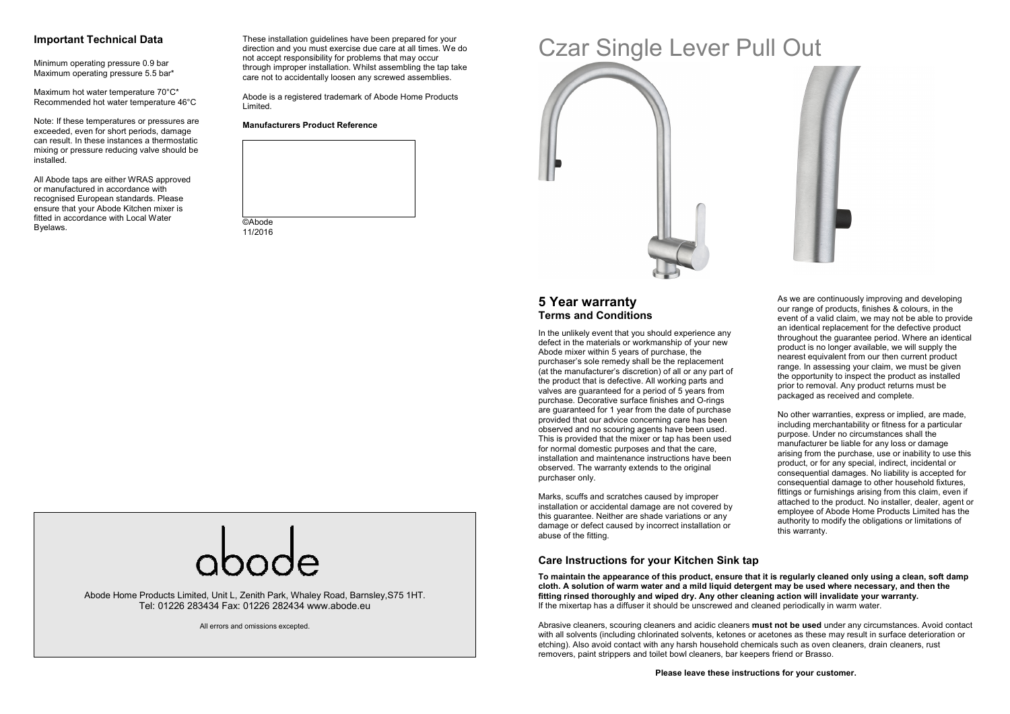#### **Important Technical Data**

Minimum operating pressure 0.9 bar Maximum operating pressure 5.5 bar\*

Maximum hot water temperature 70°C\* Recommended hot water temperature 46°C

Note: If these temperatures or pressures are exceeded, even for short periods, damage can result. In these instances a thermostatic mixing or pressure reducing valve should be installed.

All Abode taps are either WRAS approved or manufactured in accordance with recognised European standards. Please ensure that your Abode Kitchen mixer is fitted in accordance with Local Water Byelaws.

These installation guidelines have been prepared for your direction and you must exercise due care at all times. We do not accept responsibility for problems that may occur through improper installation. Whilst assembling the tap take care not to accidentally loosen any screwed assemblies.

Abode is a registered trademark of Abode Home Products Limited.

#### **Manufacturers Product Reference**



# Czar Single Lever Pull Out



# **5 Year warranty Terms and Conditions**

In the unlikely event that you should experience any defect in the materials or workmanship of your new Abode mixer within 5 years of purchase, the purchaser's sole remedy shall be the replacement (at the manufacturer's discretion) of all or any part of the product that is defective. All working parts and valves are guaranteed for a period of 5 years from purchase. Decorative surface finishes and O-rings are guaranteed for 1 year from the date of purchase provided that our advice concerning care has been observed and no scouring agents have been used. This is provided that the mixer or tap has been used for normal domestic purposes and that the care, installation and maintenance instructions have beenobserved. The warranty extends to the original purchaser only.

Marks, scuffs and scratches caused by improper installation or accidental damage are not covered by this guarantee. Neither are shade variations or any damage or defect caused by incorrect installation or abuse of the fitting.

our range of products, finishes & colours, in the event of a valid claim, we may not be able to provide an identical replacement for the defective product throughout the guarantee period. Where an identicalproduct is no longer available, we will supply the nearest equivalent from our then current product range. In assessing your claim, we must be given the opportunity to inspect the product as installedprior to removal. Any product returns must be packaged as received and complete.

As we are continuously improving and developing

No other warranties, express or implied, are made, including merchantability or fitness for a particular purpose. Under no circumstances shall the manufacturer be liable for any loss or damage arising from the purchase, use or inability to use this product, or for any special, indirect, incidental or consequential damages. No liability is accepted for consequential damage to other household fixtures, fittings or furnishings arising from this claim, even if attached to the product. No installer, dealer, agent or employee of Abode Home Products Limited has the authority to modify the obligations or limitations of this warranty.

Abode Home Products Limited, Unit L, Zenith Park, Whaley Road, Barnsley,S75 1HT. Tel: 01226 283434 Fax: 01226 282434 www.abode.eu

All errors and omissions excepted.

**Care Instructions for your Kitchen Sink tap** 

**To maintain the appearance of this product, ensure that it is regularly cleaned only using a clean, soft damp cloth. A solution of warm water and a mild liquid detergent may be used where necessary, and then the fitting rinsed thoroughly and wiped dry. Any other cleaning action will invalidate your warranty.** If the mixertap has a diffuser it should be unscrewed and cleaned periodically in warm water.

Abrasive cleaners, scouring cleaners and acidic cleaners **must not be used** under any circumstances. Avoid contact with all solvents (including chlorinated solvents, ketones or acetones as these may result in surface deterioration or etching). Also avoid contact with any harsh household chemicals such as oven cleaners, drain cleaners, rust removers, paint strippers and toilet bowl cleaners, bar keepers friend or Brasso.